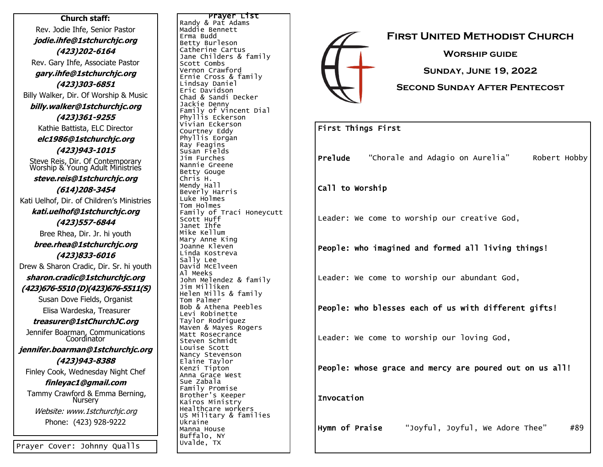**Church staff:** Rev. Jodie Ihfe, Senior Pastor **jodie.ihfe@1stchurchjc.org (423)202-6164** Rev. Gary Ihfe, Associate Pastor **gary.ihfe@1stchurchjc.org (423)303-6851** Billy Walker, Dir. Of Worship & Music **billy.walker@1stchurchjc.org (423)361-9255** Kathie Battista, ELC Director **elc1986@1stchurchjc.org (423)943-1015** Steve Reis, Dir. Of Contemporary Worship & Young Adult Ministries **steve.reis@1stchurchjc.org (614)208-3454** Kati Uelhof, Dir. of Children's Ministries **kati.uelhof@1stchurchjc.org (423)557-6844** Bree Rhea, Dir. Jr. hi youth **bree.rhea@1stchurchjc.org (423)833-6016** Drew & Sharon Cradic, Dir. Sr. hi youth **sharon.cradic@1stchurchjc.org (423)676-5510 (D)(423)676-5511(S)** Susan Dove Fields, Organist Elisa Wardeska, Treasurer **treasurer@1stChurchJC.org** Jennifer Boarman, Communications **Coordinator jennifer.boarman@1stchurchjc.org (423)943-8388** Finley Cook, Wednesday Night Chef **finleyac1@gmail.com** Tammy Crawford & Emma Berning, Nursery Website: www.1stchurchjc.org Phone: (423) 928-9222

Prayer List Randy & Pat Adams Maddie Bennett Erma Budd Betty Burleson Catherine Cartus Jane Childers & family Scott Combs Vernon Crawford Ernie Cross & family Lindsay Daniel Eric Davidson Chad & Sandi Decker Jackie Denny Family of Vincent Dial Phyllis Eckerson Vivian Eckerson Courtney Eddy Phyllis Eorgan Ray Feagins Susan Fields Jim Furches Nannie Greene Betty Gouge Chris H. Mendy Hall Beverly Harris Luke Holmes Tom Holmes Family of Traci Honeycutt Scott Huff Janet Ihfe Mike Kellum Mary Anne King Joanne Kleven Linda Kostreva Sally Lee David McElveen Al Meeks John Melendez & family Jim Milliken Helen Mills & family Tom Palmer Bob & Athena Peebles Levi Robinette Taylor Rodriguez Maven & Mayes Rogers Matt Rosecrance Steven Schmidt Louise Scott Nancy Stevenson Elaine Taylor Kenzi Tipton Anna Grace West Sue Zabala Family Promise Brother's Keeper Kairos Ministry Healthcare workers US Military & families Ukraine Manna House Buffalo, NY Uvalde, TX



#### First Things First

Prelude "Chorale and Adagio on Aurelia" Robert Hobby

Call to Worship

Leader: We come to worship our creative God,

People: who imagined and formed all living things!

Leader: We come to worship our abundant God,

People: who blesses each of us with different gifts!

Leader: We come to worship our loving God,

People: whose grace and mercy are poured out on us all!

Invocation

Hymn of Praise "Joyful, Joyful, We Adore Thee" #89

Prayer Cover: Johnny Qualls